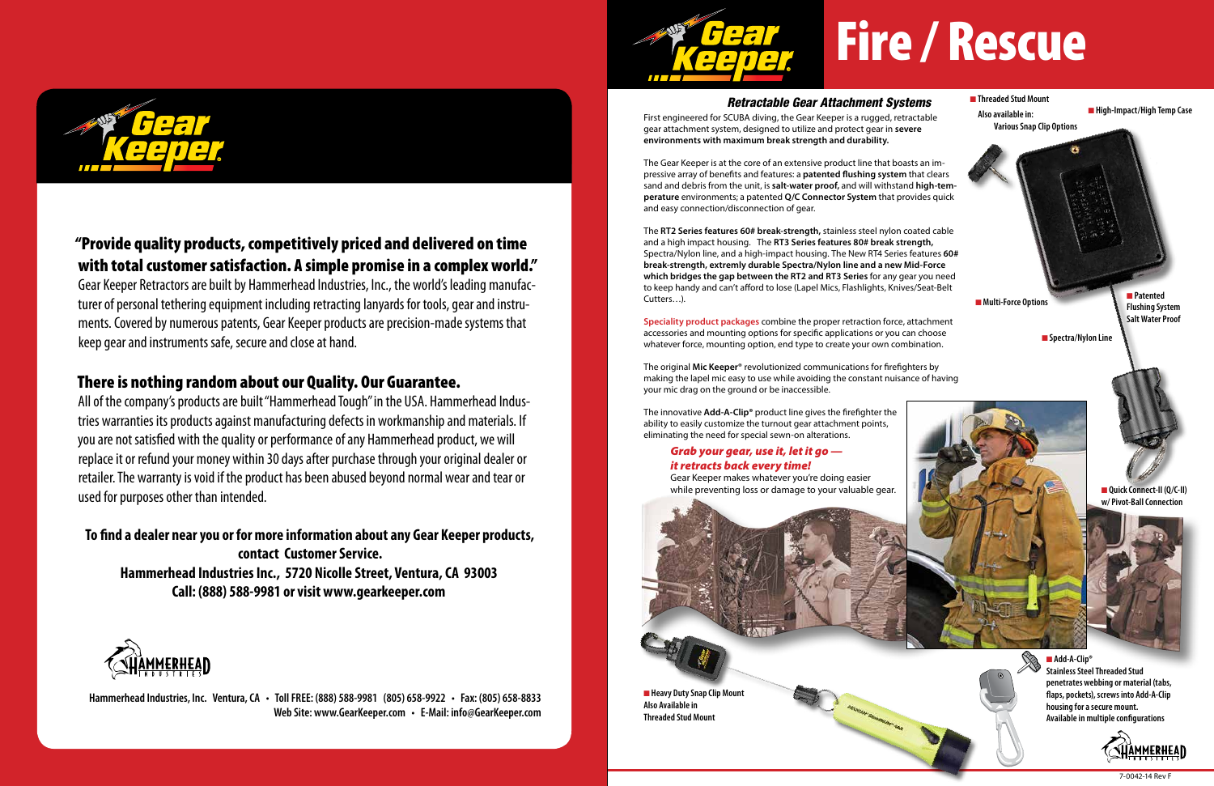

## "Provide quality products, competitively priced and delivered on time with total customer satisfaction. A simple promise in a complex world."

Gear Keeper Retractors are built by Hammerhead Industries, Inc., the world's leading manufacturer of personal tethering equipment including retracting lanyards for tools, gear and instruments. Covered by numerous patents, Gear Keeper products are precision-made systems that keep gear and instruments safe, secure and close at hand.

## There is nothing random about our Quality. Our Guarantee.

All of the company's products are built "Hammerhead Tough" in the USA. Hammerhead Industries warranties its products against manufacturing defects in workmanship and materials. If you are not satisfied with the quality or performance of any Hammerhead product, we will replace it or refund your money within 30 days after purchase through your original dealer or retailer. The warranty is void if the product has been abused beyond normal wear and tear or used for purposes other than intended.

non abula near **High-Impact/High Temp Case**<br>First engineered for SCUBA diving, the Gear Keeper is a rugged, retractable **Also available in:** gear attachment system, designed to utilize and protect gear in **severe environments with maximum break strength and durability.**

**To find a dealer near you or for more information about any Gear Keeper products, contact Customer Service. Hammerhead Industries Inc., 5720 Nicolle Street, Ventura, CA 93003 Call: (888) 588-9981 or visit www.gearkeeper.com**



**Hammerhead Industries, Inc. Ventura, CA • Toll FREE: (888) 588-9981 (805) 658-9922 • Fax: (805) 658-8833 Web Site: www.GearKeeper.com • E-Mail: info@GearKeeper.com**



## *Retractable Gear Attachment Systems*

**n** Patented **Flushing System Salt Water Proof**



**n** Quick Connect-II (Q/C-II)

**n** Threaded Stud Mount  **Also available in: Various Snap Clip Options**



**n** Multi-Force Options

**n** Spectra/Nylon Line

■ Add-A-Clip® **Stainless Steel Threaded Stud penetrates webbing or material (tabs, flaps, pockets), screws into Add-A-Clip housing for a secure mount. Available in multiple configurations**



The Gear Keeper is at the core of an extensive product line that boasts an impressive array of benefits and features: a **patented flushing system** that clears sand and debris from the unit, is **salt-water proof,** and will withstand **high-temperature** environments; a patented **Q/C Connector System** that provides quick and easy connection/disconnection of gear.

The **RT2 Series features 60# break-strength,** stainless steel nylon coated cable and a high impact housing. The **RT3 Series features 80# break strength,**  Spectra/Nylon line, and a high-impact housing. The New RT4 Series features **60# break-strength, extremly durable Spectra/Nylon line and a new Mid-Force which bridges the gap between the RT2 and RT3 Series** for any gear you need to keep handy and can't afford to lose (Lapel Mics, Flashlights, Knives/Seat-Belt Cutters…).

**Speciality product packages** combine the proper retraction force, attachment accessories and mounting options for specific applications or you can choose whatever force, mounting option, end type to create your own combination.

The original **Mic Keeper**® revolutionized communications for firefighters by making the lapel mic easy to use while avoiding the constant nuisance of having your mic drag on the ground or be inaccessible.

The innovative **Add-A-Clip®** product line gives the firefighter the ability to easily customize the turnout gear attachment points, eliminating the need for special sewn-on alterations.

## *Grab your gear, use it, let it go it retracts back every time!*

Gear Keeper makes whatever you're doing easier while preventing loss or damage to your valuable gear.

**w/ Pivot-Ball Connection**





# Fire / Rescue